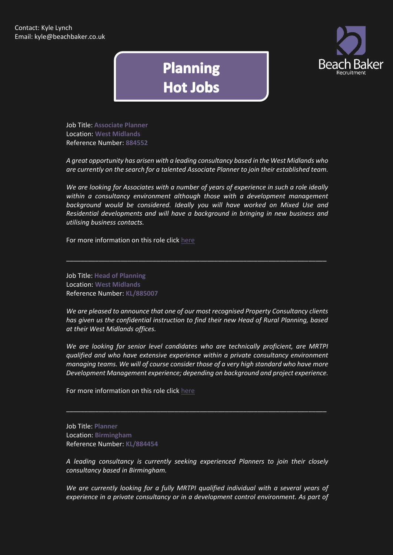

## **Planning Hot Jobs**

Job Title: **Associate Planner**  Location: **West Midlands** Reference Number: **884552**

*A great opportunity has arisen with a leading consultancy based in the West Midlands who are currently on the search for a talented Associate Planner to join their established team.*

*We are looking for Associates with a number of years of experience in such a role ideally within a consultancy environment although those with a development management background would be considered. Ideally you will have worked on Mixed Use and Residential developments and will have a background in bringing in new business and utilising business contacts.*

\_\_\_\_\_\_\_\_\_\_\_\_\_\_\_\_\_\_\_\_\_\_\_\_\_\_\_\_\_\_\_\_\_\_\_\_\_\_\_\_\_\_\_\_\_\_\_\_\_\_\_\_\_\_\_\_\_\_\_\_\_\_\_\_\_\_\_\_\_\_\_\_

For more information on this role click [here](http://www.beachbaker.co.uk/jobs/associate-planner-west-midlands-west-midlands/464-1/)

Job Title: **Head of Planning** Location: **West Midlands** Reference Number: **KL/885007**

*We are pleased to announce that one of our most recognised Property Consultancy clients has given us the confidential instruction to find their new Head of Rural Planning, based at their West Midlands offices.*

*We are looking for senior level candidates who are technically proficient, are MRTPI qualified and who have extensive experience within a private consultancy environment managing teams. We will of course consider those of a very high standard who have more Development Management experience; depending on background and project experience.*

\_\_\_\_\_\_\_\_\_\_\_\_\_\_\_\_\_\_\_\_\_\_\_\_\_\_\_\_\_\_\_\_\_\_\_\_\_\_\_\_\_\_\_\_\_\_\_\_\_\_\_\_\_\_\_\_\_\_\_\_\_\_\_\_\_\_\_\_\_\_\_\_

For more information on this role click [here](http://www.beachbaker.co.uk/jobs/head-of-planning-west-midlands-birmingham/547-1/)

Job Title: **Planner** Location: **Birmingham** Reference Number: **KL/884454**

*A leading consultancy is currently seeking experienced Planners to join their closely consultancy based in Birmingham.*

*We are currently looking for a fully MRTPI qualified individual with a several years of experience in a private consultancy or in a development control environment. As part of*